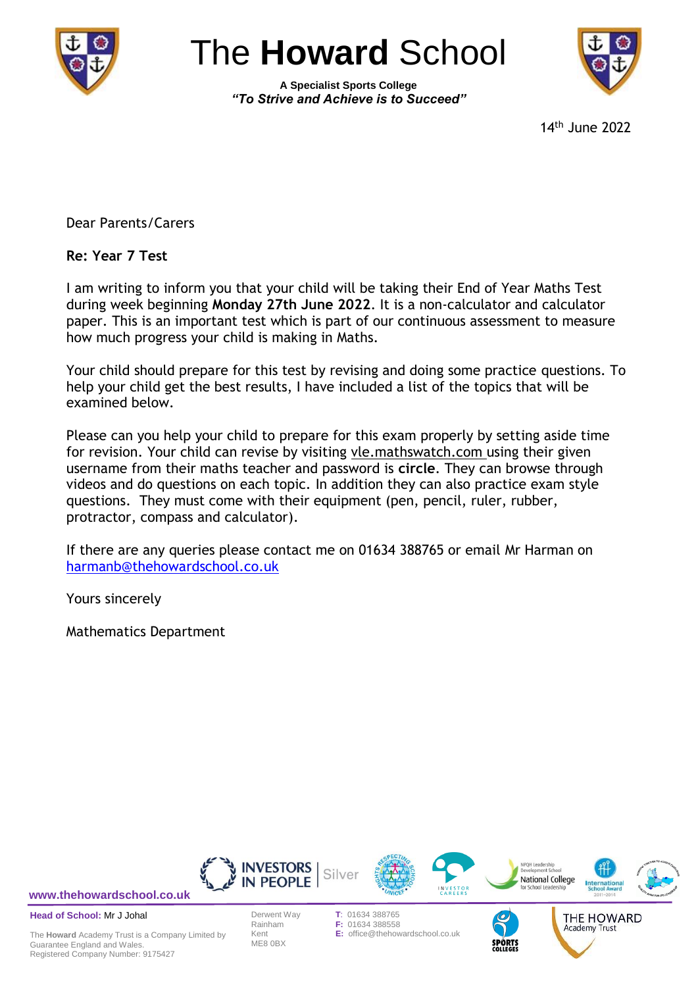

# The **Howard** School

**A Specialist Sports College** *"To Strive and Achieve is to Succeed"*



14 th June 2022

Academy Trust

Dear Parents/Carers

**Re: Year 7 Test**

I am writing to inform you that your child will be taking their End of Year Maths Test during week beginning **Monday 27th June 2022**. It is a non-calculator and calculator paper. This is an important test which is part of our continuous assessment to measure how much progress your child is making in Maths.

Your child should prepare for this test by revising and doing some practice questions. To help your child get the best results, I have included a list of the topics that will be examined below.

Please can you help your child to prepare for this exam properly by setting aside time for revision. Your child can revise by visiting vle.mathswatch.com using their given username from their maths teacher and password is **circle**. They can browse through videos and do questions on each topic. In addition they can also practice exam style questions. They must come with their equipment (pen, pencil, ruler, rubber, protractor, compass and calculator).

If there are any queries please contact me on 01634 388765 or email Mr Harman on [harmanb@thehowardschool.co.uk](mailto:harmanb@thehowardschool.co.uk)

Yours sincerely

Mathematics Department



**[www.thehowardschool.co.uk](http://www.thehowardschool.co.uk/)**

**Head of School:** Mr J Johal

The **Howard** Academy Trust is a Company Limited by Guarantee England and Wales. Registered Company Number: 9175427

ME8 0BX

F: 01634 388558 Kent **E:** office@thehowardschool.co.uk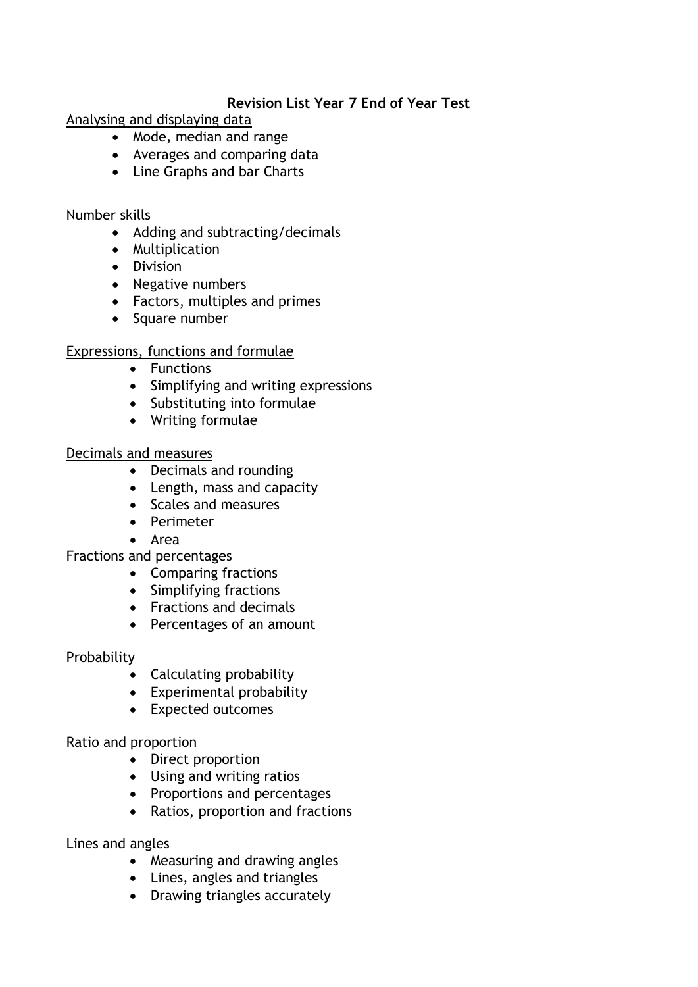#### **Revision List Year 7 End of Year Test**

Analysing and displaying data

- Mode, median and range
- Averages and comparing data
- Line Graphs and bar Charts

#### Number skills

- Adding and subtracting/decimals
- Multiplication
- **•** Division
- Negative numbers
- Factors, multiples and primes
- Square number

## Expressions, functions and formulae

- Functions
- Simplifying and writing expressions
- Substituting into formulae
- Writing formulae

## Decimals and measures

- Decimals and rounding
- Length, mass and capacity
- Scales and measures
- Perimeter
- Area

## Fractions and percentages

- Comparing fractions
- Simplifying fractions
- Fractions and decimals
- Percentages of an amount

## **Probability**

- Calculating probability
- Experimental probability
- Expected outcomes

## Ratio and proportion

- Direct proportion
- Using and writing ratios
- Proportions and percentages
- Ratios, proportion and fractions

## Lines and angles

- Measuring and drawing angles
- Lines, angles and triangles
- Drawing triangles accurately